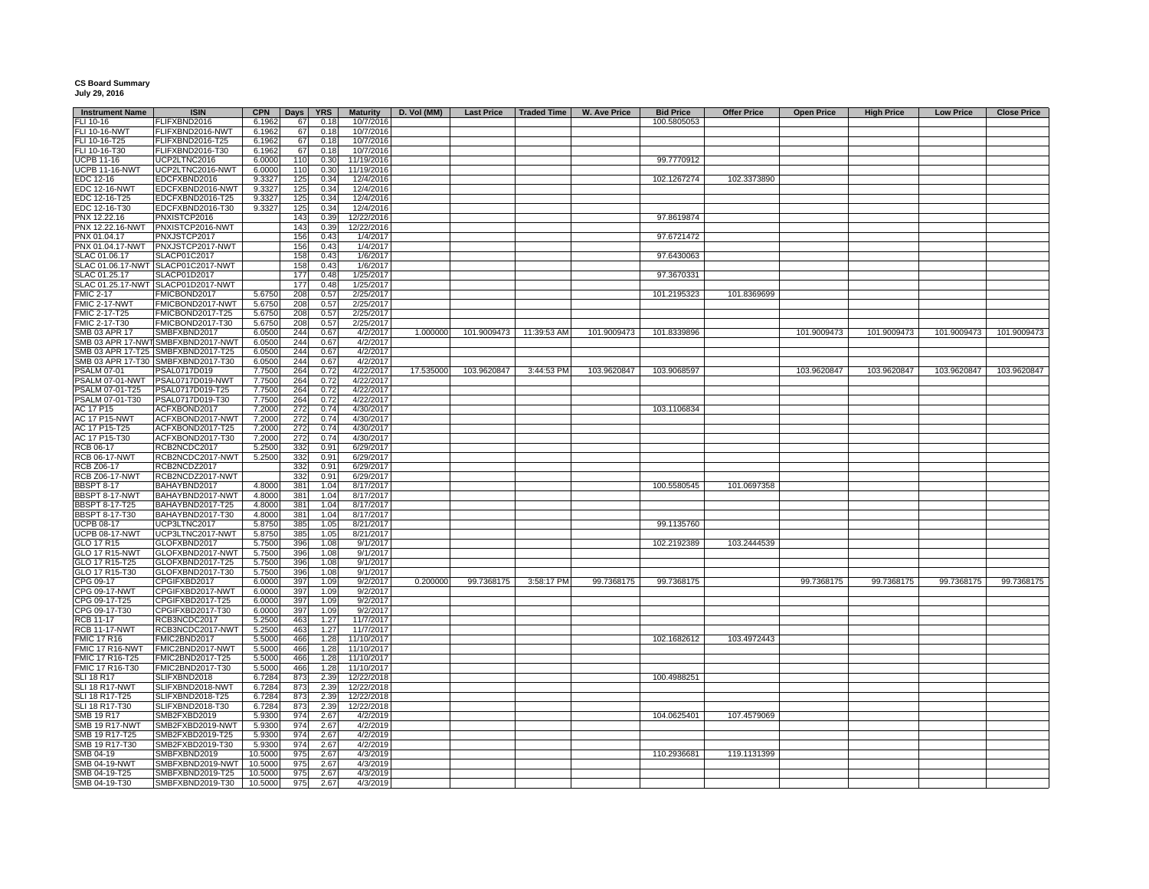## **CS Board Summary July 29, 2016**

| <b>Instrument Name</b> | <b>ISIN</b>                        | <b>CPN</b> | Days | <b>YRS</b> | <b>Maturity</b> | D. Vol (MM) | <b>Last Price</b> | Traded Time             | <b>W. Ave Price</b> | <b>Bid Price</b> | <b>Offer Price</b> | <b>Open Price</b> | <b>High Price</b> | <b>Low Price</b> | <b>Close Price</b> |
|------------------------|------------------------------------|------------|------|------------|-----------------|-------------|-------------------|-------------------------|---------------------|------------------|--------------------|-------------------|-------------------|------------------|--------------------|
| FLI 10-16              | FLIFXBND2016                       | 6.1962     | 67   | 0.18       | 10/7/2016       |             |                   |                         |                     | 100.5805053      |                    |                   |                   |                  |                    |
| FLI 10-16-NWT          | FLIFXBND2016-NWT                   | 6.1962     | 67   | 0.18       | 10/7/2016       |             |                   |                         |                     |                  |                    |                   |                   |                  |                    |
| FLI 10-16-T25          | FLIFXBND2016-T25                   | 6.1962     | 67   | 0.18       | 10/7/2016       |             |                   |                         |                     |                  |                    |                   |                   |                  |                    |
| FLI 10-16-T30          | FLIFXBND2016-T30                   | 6.1962     | 67   | 0.18       | 10/7/2016       |             |                   |                         |                     |                  |                    |                   |                   |                  |                    |
| <b>UCPB 11-16</b>      | UCP2LTNC2016                       |            | 110  |            | 11/19/2016      |             |                   |                         |                     |                  |                    |                   |                   |                  |                    |
|                        |                                    | 6.0000     |      | 0.30       |                 |             |                   |                         |                     | 99.7770912       |                    |                   |                   |                  |                    |
| <b>UCPB 11-16-NWT</b>  | UCP2LTNC2016-NWT                   | 6.0000     | 110  | 0.30       | 11/19/2016      |             |                   |                         |                     |                  |                    |                   |                   |                  |                    |
| EDC 12-16              | EDCFXBND2016                       | 9.3327     | 125  | 0.34       | 12/4/2016       |             |                   |                         |                     | 102.1267274      | 102.3373890        |                   |                   |                  |                    |
| <b>EDC 12-16-NWT</b>   | EDCFXBND2016-NWT                   | 9.3327     | 125  | 0.34       | 12/4/2016       |             |                   |                         |                     |                  |                    |                   |                   |                  |                    |
| EDC 12-16-T25          | EDCFXBND2016-T25                   | 9.3327     | 125  | 0.34       | 12/4/2016       |             |                   |                         |                     |                  |                    |                   |                   |                  |                    |
| EDC 12-16-T30          | EDCFXBND2016-T30                   | 9.3327     | 125  | 0.34       | 12/4/2016       |             |                   |                         |                     |                  |                    |                   |                   |                  |                    |
| PNX 12.22.16           | PNXISTCP2016                       |            | 143  | 0.39       | 12/22/2016      |             |                   |                         |                     | 97.8619874       |                    |                   |                   |                  |                    |
| PNX 12.22.16-NWT       | PNXISTCP2016-NWT                   |            | 143  | 0.39       | 12/22/2016      |             |                   |                         |                     |                  |                    |                   |                   |                  |                    |
| PNX 01.04.17           | PNXJSTCP2017                       |            | 156  | 0.43       | 1/4/2017        |             |                   |                         |                     | 97.6721472       |                    |                   |                   |                  |                    |
|                        | PNX 01.04.17-NWT PNXJSTCP2017-NWT  |            | 156  | 0.43       | 1/4/2017        |             |                   |                         |                     |                  |                    |                   |                   |                  |                    |
|                        |                                    |            |      |            |                 |             |                   |                         |                     |                  |                    |                   |                   |                  |                    |
| SLAC 01.06.17          | SLACP01C2017                       |            | 158  | 0.43       | 1/6/2017        |             |                   |                         |                     | 97.6430063       |                    |                   |                   |                  |                    |
|                        | SLAC 01.06.17-NWT SLACP01C2017-NWT |            | 158  | 0.43       | 1/6/2017        |             |                   |                         |                     |                  |                    |                   |                   |                  |                    |
| SLAC 01.25.17          | SLACP01D2017                       |            | 177  | 0.48       | 1/25/2017       |             |                   |                         |                     | 97.3670331       |                    |                   |                   |                  |                    |
|                        | SLAC 01.25.17-NWT SLACP01D2017-NWT |            | 177  | 0.48       | 1/25/2017       |             |                   |                         |                     |                  |                    |                   |                   |                  |                    |
| <b>FMIC 2-17</b>       | FMICBOND2017                       | 5.6750     | 208  | 0.57       | 2/25/2017       |             |                   |                         |                     | 101.2195323      | 101.8369699        |                   |                   |                  |                    |
| FMIC 2-17-NWT          | FMICBOND2017-NWT                   | 5.6750     | 208  | 0.57       | 2/25/2017       |             |                   |                         |                     |                  |                    |                   |                   |                  |                    |
| FMIC 2-17-T25          | FMICBOND2017-T25                   | 5.6750     | 208  | 0.57       | 2/25/2017       |             |                   |                         |                     |                  |                    |                   |                   |                  |                    |
| FMIC 2-17-T30          | FMICBOND2017-T30                   | 5.6750     | 208  | 0.57       | 2/25/2017       |             |                   |                         |                     |                  |                    |                   |                   |                  |                    |
| SMB 03 APR 17          | SMBFXBND2017                       | 6.0500     | 244  | 0.67       | 4/2/2017        | 1.000000    |                   | 101.9009473 11:39:53 AM | 101.9009473         | 101.8339896      |                    | 101.9009473       | 101.9009473       | 101.9009473      | 101.9009473        |
|                        | SMB 03 APR 17-NWT SMBFXBND2017-NWT | 6.0500     | 244  | 0.67       | 4/2/2017        |             |                   |                         |                     |                  |                    |                   |                   |                  |                    |
|                        |                                    |            |      |            |                 |             |                   |                         |                     |                  |                    |                   |                   |                  |                    |
|                        | SMB 03 APR 17-T25 SMBFXBND2017-T25 | 6.0500     | 244  | 0.67       | 4/2/2017        |             |                   |                         |                     |                  |                    |                   |                   |                  |                    |
|                        | SMB 03 APR 17-T30 SMBFXBND2017-T30 | 6.0500     | 244  | 0.67       | 4/2/2017        |             |                   |                         |                     |                  |                    |                   |                   |                  |                    |
| <b>PSALM 07-01</b>     | PSAL0717D019                       | 7.7500     | 264  | 0.72       | 4/22/2017       | 17.535000   | 103.9620847       | 3:44:53 PM              | 103.9620847         | 103.9068597      |                    | 103.9620847       | 103.9620847       | 103.9620847      | 103.9620847        |
|                        | PSALM 07-01-NWT PSAL0717D019-NWT   | 7.7500     | 264  | 0.72       | 4/22/2017       |             |                   |                         |                     |                  |                    |                   |                   |                  |                    |
| PSALM 07-01-T25        | PSAL0717D019-T25                   | 7.7500     | 264  | 0.72       | 4/22/2017       |             |                   |                         |                     |                  |                    |                   |                   |                  |                    |
| PSALM 07-01-T30        | PSAL0717D019-T30                   | 7.7500     | 264  | 0.72       | 4/22/2017       |             |                   |                         |                     |                  |                    |                   |                   |                  |                    |
| AC 17 P15              | ACFXBOND2017                       | 7.2000     | 272  | 0.74       | 4/30/2017       |             |                   |                         |                     | 103.1106834      |                    |                   |                   |                  |                    |
| <b>AC 17 P15-NWT</b>   | ACFXBOND2017-NWT                   | 7.2000     | 272  | 0.74       | 4/30/2017       |             |                   |                         |                     |                  |                    |                   |                   |                  |                    |
| AC 17 P15-T25          | ACFXBOND2017-T25                   | 7.2000     | 272  | 0.74       | 4/30/2017       |             |                   |                         |                     |                  |                    |                   |                   |                  |                    |
|                        |                                    |            | 272  |            |                 |             |                   |                         |                     |                  |                    |                   |                   |                  |                    |
| AC 17 P15-T30          | ACFXBOND2017-T30                   | 7.2000     |      | 0.74       | 4/30/2017       |             |                   |                         |                     |                  |                    |                   |                   |                  |                    |
| RCB 06-17              | RCB2NCDC2017                       | 5.2500     | 332  | 0.91       | 6/29/2017       |             |                   |                         |                     |                  |                    |                   |                   |                  |                    |
| <b>RCB 06-17-NWT</b>   | RCB2NCDC2017-NWT                   | 5.2500     | 332  | 0.91       | 6/29/2017       |             |                   |                         |                     |                  |                    |                   |                   |                  |                    |
| <b>RCB Z06-17</b>      | RCB2NCDZ2017                       |            | 332  | 0.91       | 6/29/2017       |             |                   |                         |                     |                  |                    |                   |                   |                  |                    |
| <b>RCB Z06-17-NWT</b>  | RCB2NCDZ2017-NWT                   |            | 332  | 0.91       | 6/29/2017       |             |                   |                         |                     |                  |                    |                   |                   |                  |                    |
| <b>BBSPT 8-17</b>      | BAHAYBND2017                       | 4.8000     | 381  | 1.04       | 8/17/2017       |             |                   |                         |                     | 100.5580545      | 101.0697358        |                   |                   |                  |                    |
| BBSPT 8-17-NWT         | BAHAYBND2017-NWT                   | 4.8000     | 381  | 1.04       | 8/17/2017       |             |                   |                         |                     |                  |                    |                   |                   |                  |                    |
| <b>BBSPT 8-17-T25</b>  | BAHAYBND2017-T25                   | 4.8000     | 381  | 1.04       | 8/17/2017       |             |                   |                         |                     |                  |                    |                   |                   |                  |                    |
| <b>BBSPT 8-17-T30</b>  | BAHAYBND2017-T30                   | 4.8000     | 381  | 1.04       | 8/17/2017       |             |                   |                         |                     |                  |                    |                   |                   |                  |                    |
|                        |                                    |            |      |            |                 |             |                   |                         |                     |                  |                    |                   |                   |                  |                    |
| <b>UCPB 08-17</b>      | UCP3LTNC2017                       | 5.8750     | 385  | 1.05       | 8/21/2017       |             |                   |                         |                     | 99.1135760       |                    |                   |                   |                  |                    |
| <b>UCPB 08-17-NWT</b>  | UCP3LTNC2017-NWT                   | 5.8750     | 385  | 1.05       | 8/21/2017       |             |                   |                         |                     |                  |                    |                   |                   |                  |                    |
| GLO 17 R15             | GLOFXBND2017                       | 5.7500     | 396  | 1.08       | 9/1/2017        |             |                   |                         |                     | 102.2192389      | 103.2444539        |                   |                   |                  |                    |
| GLO 17 R15-NWT         | GLOFXBND2017-NWT                   | 5.7500     | 396  | 1.08       | 9/1/2017        |             |                   |                         |                     |                  |                    |                   |                   |                  |                    |
| GLO 17 R15-T25         | GLOFXBND2017-T25                   | 5.7500     | 396  | 1.08       | 9/1/2017        |             |                   |                         |                     |                  |                    |                   |                   |                  |                    |
| GLO 17 R15-T30         | GLOFXBND2017-T30                   | 5.7500     | 396  | 1.08       | 9/1/2017        |             |                   |                         |                     |                  |                    |                   |                   |                  |                    |
| CPG 09-17              | CPGIFXBD2017                       | 6.0000     | 397  | 1.09       | 9/2/2017        | 0.200000    | 99.7368175        | 3:58:17 PM              | 99.7368175          | 99.7368175       |                    | 99.7368175        | 99.7368175        | 99.7368175       | 99.7368175         |
| CPG 09-17-NWT          | CPGIFXBD2017-NWT                   | 6.0000     | 397  | 1.09       | 9/2/2017        |             |                   |                         |                     |                  |                    |                   |                   |                  |                    |
| CPG 09-17-T25          | CPGIFXBD2017-T25                   | 6.0000     | 397  | 1.09       | 9/2/2017        |             |                   |                         |                     |                  |                    |                   |                   |                  |                    |
|                        |                                    |            |      |            |                 |             |                   |                         |                     |                  |                    |                   |                   |                  |                    |
| CPG 09-17-T30          | CPGIFXBD2017-T30                   | 6.0000     | 397  | 1.09       | 9/2/2017        |             |                   |                         |                     |                  |                    |                   |                   |                  |                    |
| <b>RCB 11-17</b>       | RCB3NCDC2017                       | 5.2500     | 463  | 1.27       | 11/7/2017       |             |                   |                         |                     |                  |                    |                   |                   |                  |                    |
| <b>RCB 11-17-NWT</b>   | RCB3NCDC2017-NWT                   | 5.2500     | 463  | 1.27       | 11/7/2017       |             |                   |                         |                     |                  |                    |                   |                   |                  |                    |
| <b>FMIC 17 R16</b>     | FMIC2BND2017                       | 5.5000     | 466  | 1.28       | 11/10/2017      |             |                   |                         |                     | 102.1682612      | 103.4972443        |                   |                   |                  |                    |
| <b>FMIC 17 R16-NWT</b> | FMIC2BND2017-NWT                   | 5.5000     | 466  | 1.28       | 11/10/2017      |             |                   |                         |                     |                  |                    |                   |                   |                  |                    |
| FMIC 17 R16-T25        | FMIC2BND2017-T25                   | 5.5000     | 466  | 1.28       | 11/10/2017      |             |                   |                         |                     |                  |                    |                   |                   |                  |                    |
| FMIC 17 R16-T30        | FMIC2BND2017-T30                   | 5.5000     | 466  | 1.28       | 11/10/2017      |             |                   |                         |                     |                  |                    |                   |                   |                  |                    |
| <b>SLI 18 R17</b>      | SLIFXBND2018                       | 6.7284     | 873  | 2.39       |                 |             |                   |                         |                     | 100.4988251      |                    |                   |                   |                  |                    |
|                        |                                    |            |      |            | 12/22/2018      |             |                   |                         |                     |                  |                    |                   |                   |                  |                    |
| SLI 18 R17-NWT         | SLIFXBND2018-NWT                   | 6.7284     | 873  | 2.39       | 12/22/2018      |             |                   |                         |                     |                  |                    |                   |                   |                  |                    |
| SLI 18 R17-T25         | SLIFXBND2018-T25                   | 6.7284     | 873  | 2.39       | 12/22/2018      |             |                   |                         |                     |                  |                    |                   |                   |                  |                    |
| SLI 18 R17-T30         | SLIFXBND2018-T30                   | 6.7284     | 873  | 2.39       | 12/22/2018      |             |                   |                         |                     |                  |                    |                   |                   |                  |                    |
| SMB 19 R17             | SMB2FXBD2019                       | 5.9300     | 974  | 2.67       | 4/2/2019        |             |                   |                         |                     | 104.0625401      | 107.4579069        |                   |                   |                  |                    |
| <b>SMB 19 R17-NWT</b>  | SMB2FXBD2019-NWT                   | 5.9300     | 974  | 2.67       | 4/2/2019        |             |                   |                         |                     |                  |                    |                   |                   |                  |                    |
| SMB 19 R17-T25         | SMB2FXBD2019-T25                   | 5.9300     | 974  | 2.67       | 4/2/2019        |             |                   |                         |                     |                  |                    |                   |                   |                  |                    |
| SMB 19 R17-T30         | SMB2FXBD2019-T30                   | 5.9300     | 974  | 2.67       | 4/2/2019        |             |                   |                         |                     |                  |                    |                   |                   |                  |                    |
|                        |                                    |            |      |            |                 |             |                   |                         |                     |                  |                    |                   |                   |                  |                    |
| SMB 04-19              | SMBFXBND2019                       | 10.5000    | 975  | 2.67       | 4/3/2019        |             |                   |                         |                     | 110.2936681      | 119.1131399        |                   |                   |                  |                    |
| SMB 04-19-NWT          | SMBFXBND2019-NWT                   | 10.5000    | 975  | 2.67       | 4/3/2019        |             |                   |                         |                     |                  |                    |                   |                   |                  |                    |
| SMB 04-19-T25          | SMBFXBND2019-T25                   | 10.5000    | 975  | 2.67       | 4/3/2019        |             |                   |                         |                     |                  |                    |                   |                   |                  |                    |
| SMB 04-19-T30          | SMBFXBND2019-T30                   | 10.5000    | 975  | 2.67       | 4/3/2019        |             |                   |                         |                     |                  |                    |                   |                   |                  |                    |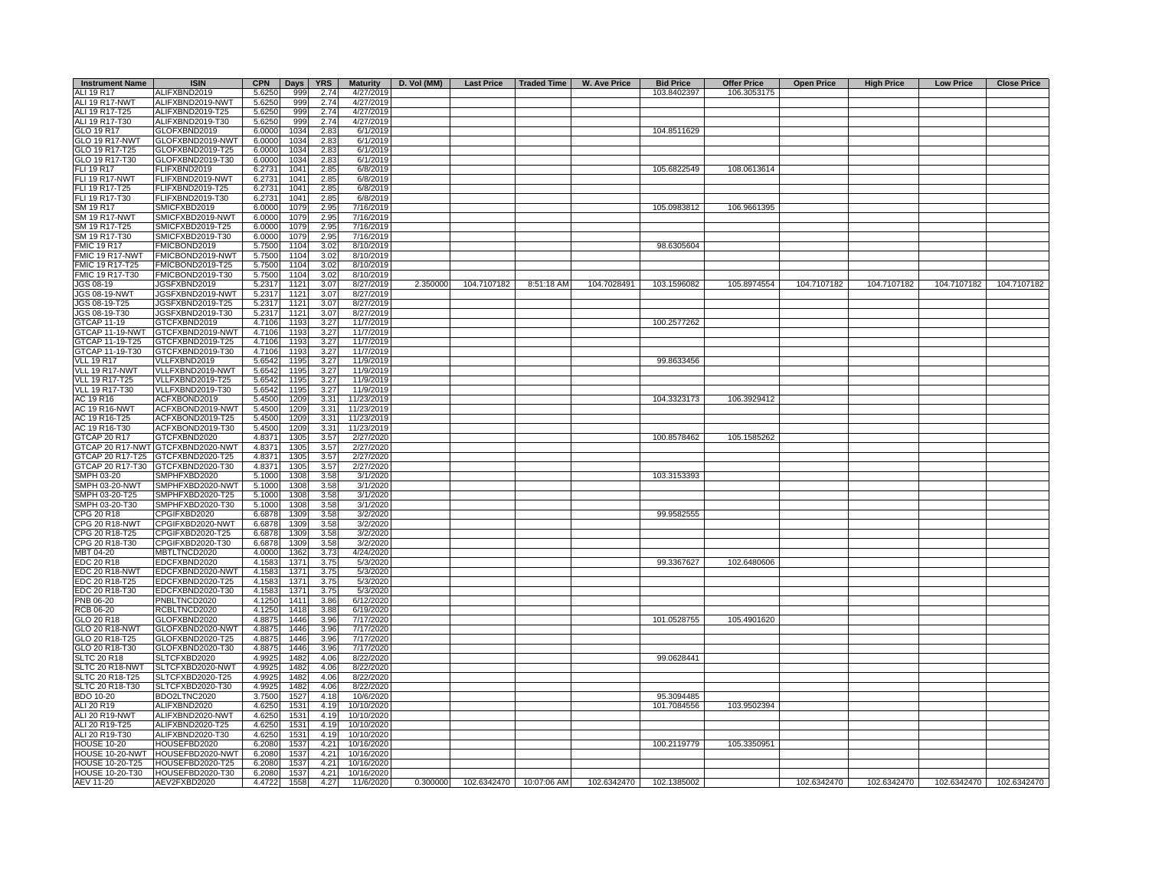| <b>Instrument Name</b> | <b>ISIN</b>                       | <b>CPN</b> | Days | <b>YRS</b> | <b>Maturity</b>      | D. Vol (MM) |             | Last Price   Traded Time | W. Ave Price | <b>Bid Price</b> | <b>Offer Price</b> | <b>Open Price</b> | <b>High Price</b> | <b>Low Price</b> | <b>Close Price</b>      |
|------------------------|-----------------------------------|------------|------|------------|----------------------|-------------|-------------|--------------------------|--------------|------------------|--------------------|-------------------|-------------------|------------------|-------------------------|
| ALI 19 R17             | ALIFXBND2019                      | 5.6250     | 999  | 2.74       | 4/27/2019            |             |             |                          |              | 103.8402397      | 106.3053175        |                   |                   |                  |                         |
| ALI 19 R17-NWT         | ALIFXBND2019-NWT                  | 5.6250     | 999  | 2.74       | 4/27/2019            |             |             |                          |              |                  |                    |                   |                   |                  |                         |
| ALI 19 R17-T25         | ALIFXBND2019-T25                  | 5.6250     | 999  | 2.74       | 4/27/2019            |             |             |                          |              |                  |                    |                   |                   |                  |                         |
| ALI 19 R17-T30         | ALIFXBND2019-T30                  | 5.6250     | 999  | 2.74       | 4/27/2019            |             |             |                          |              |                  |                    |                   |                   |                  |                         |
| GLO 19 R17             | GLOFXBND2019                      | 6.0000     | 1034 | 2.83       | 6/1/2019             |             |             |                          |              | 104.8511629      |                    |                   |                   |                  |                         |
| <b>GLO 19 R17-NWT</b>  | GLOFXBND2019-NWT                  | 6.0000     | 1034 | 2.83       | 6/1/2019             |             |             |                          |              |                  |                    |                   |                   |                  |                         |
| GLO 19 R17-T25         | GLOFXBND2019-T25                  | 6.0000     | 1034 | 2.83       | 6/1/2019             |             |             |                          |              |                  |                    |                   |                   |                  |                         |
| GLO 19 R17-T30         | GLOFXBND2019-T30                  | 6.0000     | 1034 | 2.83       | 6/1/2019             |             |             |                          |              |                  |                    |                   |                   |                  |                         |
| FLI 19 R17             | FLIFXBND2019                      | 6.2731     | 1041 | 2.85       | 6/8/2019             |             |             |                          |              | 105.6822549      | 108.0613614        |                   |                   |                  |                         |
|                        |                                   | 6.2731     |      | 2.85       |                      |             |             |                          |              |                  |                    |                   |                   |                  |                         |
| FLI 19 R17-NWT         | FLIFXBND2019-NWT                  |            | 1041 |            | 6/8/2019             |             |             |                          |              |                  |                    |                   |                   |                  |                         |
| FLI 19 R17-T25         | FLIFXBND2019-T25                  | 6.2731     | 1041 | 2.85       | 6/8/2019             |             |             |                          |              |                  |                    |                   |                   |                  |                         |
| FLI 19 R17-T30         | FLIFXBND2019-T30                  | 6.2731     | 1041 | 2.85       | 6/8/2019             |             |             |                          |              |                  |                    |                   |                   |                  |                         |
| SM 19 R17              | SMICFXBD2019                      | 6.0000     | 1079 | 2.95       | 7/16/2019            |             |             |                          |              | 105.0983812      | 106.9661395        |                   |                   |                  |                         |
| <b>SM 19 R17-NWT</b>   | SMICFXBD2019-NWT                  | 6.0000     | 1079 | 2.95       | 7/16/2019            |             |             |                          |              |                  |                    |                   |                   |                  |                         |
| SM 19 R17-T25          | SMICFXBD2019-T25                  | 6.0000     | 1079 | 2.95       | 7/16/2019            |             |             |                          |              |                  |                    |                   |                   |                  |                         |
| SM 19 R17-T30          | SMICFXBD2019-T30                  | 6.0000     | 1079 | 2.95       | 7/16/2019            |             |             |                          |              |                  |                    |                   |                   |                  |                         |
| <b>FMIC 19 R17</b>     | FMICBOND2019                      | 5.7500     | 1104 | 3.02       | 8/10/2019            |             |             |                          |              | 98.6305604       |                    |                   |                   |                  |                         |
| FMIC 19 R17-NWT        | FMICBOND2019-NWT                  | 5.7500     | 1104 | 3.02       | 8/10/2019            |             |             |                          |              |                  |                    |                   |                   |                  |                         |
| FMIC 19 R17-T25        | FMICBOND2019-T25                  | 5.7500     | 1104 | 3.02       | 8/10/2019            |             |             |                          |              |                  |                    |                   |                   |                  |                         |
| FMIC 19 R17-T30        | FMICBOND2019-T30                  | 5.7500     | 1104 | 3.02       | 8/10/2019            |             |             |                          |              |                  |                    |                   |                   |                  |                         |
| JGS 08-19              | JGSFXBND2019                      | 5.2317     | 1121 | 3.07       | 8/27/2019            | 2.350000    | 104.7107182 | 8:51:18 AM               | 104.7028491  | 103.1596082      | 105.8974554        | 104.7107182       | 104.7107182       | 104.7107182      | 104.7107182             |
| <b>JGS 08-19-NWT</b>   | JGSFXBND2019-NWT                  | 5.2317     | 1121 | 3.07       | 8/27/2019            |             |             |                          |              |                  |                    |                   |                   |                  |                         |
|                        | JGSFXBND2019-T25                  | 5.2317     |      | 3.07       |                      |             |             |                          |              |                  |                    |                   |                   |                  |                         |
| JGS 08-19-T25          |                                   |            | 1121 |            | 8/27/2019            |             |             |                          |              |                  |                    |                   |                   |                  |                         |
| JGS 08-19-T30          | JGSFXBND2019-T30                  | 5.2317     | 1121 | 3.07       | 8/27/2019            |             |             |                          |              |                  |                    |                   |                   |                  |                         |
| <b>GTCAP 11-19</b>     | GTCFXBND2019                      | 4.7106     | 1193 | 3.27       | 11/7/2019            |             |             |                          |              | 100.2577262      |                    |                   |                   |                  |                         |
| GTCAP 11-19-NWT        | GTCFXBND2019-NWT                  | 4.7106     | 1193 | 3.27       | 11/7/2019            |             |             |                          |              |                  |                    |                   |                   |                  |                         |
| GTCAP 11-19-T25        | GTCFXBND2019-T25                  | 4.7106     | 1193 | 3.27       | 11/7/2019            |             |             |                          |              |                  |                    |                   |                   |                  |                         |
| GTCAP 11-19-T30        | GTCFXBND2019-T30                  | 4.7106     | 1193 | 3.27       | 11/7/2019            |             |             |                          |              |                  |                    |                   |                   |                  |                         |
| <b>VLL 19 R17</b>      | VLLFXBND2019                      | 5.6542     | 1195 | 3.27       | 11/9/2019            |             |             |                          |              | 99.8633456       |                    |                   |                   |                  |                         |
| VLL 19 R17-NWT         | VLLFXBND2019-NWT                  | 5.6542     | 1195 | 3.27       | 11/9/2019            |             |             |                          |              |                  |                    |                   |                   |                  |                         |
| VLL 19 R17-T25         | VLLFXBND2019-T25                  | 5.6542     | 1195 | 3.27       | 11/9/2019            |             |             |                          |              |                  |                    |                   |                   |                  |                         |
| VLL 19 R17-T30         | VLLFXBND2019-T30                  | 5.6542     | 1195 | 3.27       | 11/9/2019            |             |             |                          |              |                  |                    |                   |                   |                  |                         |
| AC 19 R16              | ACFXBOND2019                      | 5.4500     | 1209 | 3.31       | 11/23/2019           |             |             |                          |              | 104.3323173      | 106.3929412        |                   |                   |                  |                         |
| <b>AC 19 R16-NWT</b>   | ACFXBOND2019-NWT                  | 5.4500     | 1209 | 3.31       | 11/23/2019           |             |             |                          |              |                  |                    |                   |                   |                  |                         |
| AC 19 R16-T25          | ACFXBOND2019-T25                  |            | 1209 |            |                      |             |             |                          |              |                  |                    |                   |                   |                  |                         |
|                        |                                   | 5.4500     |      | 3.31       | 11/23/2019           |             |             |                          |              |                  |                    |                   |                   |                  |                         |
| AC 19 R16-T30          | ACFXBOND2019-T30                  | 5.4500     | 1209 | 3.31       | 11/23/2019           |             |             |                          |              |                  |                    |                   |                   |                  |                         |
| GTCAP 20 R17           | GTCFXBND2020                      | 4.8371     | 1305 | 3.57       | 2/27/2020            |             |             |                          |              | 100.8578462      | 105.1585262        |                   |                   |                  |                         |
|                        | GTCAP 20 R17-NWT GTCFXBND2020-NWT | 4.8371     | 1305 | 3.57       | 2/27/2020            |             |             |                          |              |                  |                    |                   |                   |                  |                         |
|                        | GTCAP 20 R17-T25 GTCFXBND2020-T25 | 4.8371     | 1305 | 3.57       | 2/27/2020            |             |             |                          |              |                  |                    |                   |                   |                  |                         |
|                        | GTCAP 20 R17-T30 GTCFXBND2020-T30 | 4.8371     | 1305 | 3.57       | 2/27/2020            |             |             |                          |              |                  |                    |                   |                   |                  |                         |
| SMPH 03-20             | SMPHFXBD2020                      | 5.1000     | 1308 | 3.58       | 3/1/2020             |             |             |                          |              | 103.3153393      |                    |                   |                   |                  |                         |
| SMPH 03-20-NWT         | SMPHFXBD2020-NWT                  | 5.1000     | 1308 | 3.58       | 3/1/2020             |             |             |                          |              |                  |                    |                   |                   |                  |                         |
| SMPH 03-20-T25         | SMPHFXBD2020-T25                  | 5.1000     | 1308 | 3.58       | 3/1/2020             |             |             |                          |              |                  |                    |                   |                   |                  |                         |
| SMPH 03-20-T30         | SMPHFXBD2020-T30                  | 5.1000     | 1308 | 3.58       | 3/1/2020             |             |             |                          |              |                  |                    |                   |                   |                  |                         |
| CPG 20 R18             | CPGIFXBD2020                      | 6.6878     | 1309 | 3.58       | 3/2/2020             |             |             |                          |              | 99.9582555       |                    |                   |                   |                  |                         |
| CPG 20 R18-NWT         | CPGIFXBD2020-NWT                  |            | 1309 | 3.58       |                      |             |             |                          |              |                  |                    |                   |                   |                  |                         |
| CPG 20 R18-T25         | CPGIFXBD2020-T25                  | 6.6878     | 1309 | 3.58       | 3/2/2020<br>3/2/2020 |             |             |                          |              |                  |                    |                   |                   |                  |                         |
|                        |                                   | 6.6878     |      |            |                      |             |             |                          |              |                  |                    |                   |                   |                  |                         |
| CPG 20 R18-T30         | CPGIFXBD2020-T30                  | 6.6878     | 1309 | 3.58       | 3/2/2020             |             |             |                          |              |                  |                    |                   |                   |                  |                         |
| MBT 04-20              | MBTLTNCD2020                      | 4.0000     | 1362 | 3.73       | 4/24/2020            |             |             |                          |              |                  |                    |                   |                   |                  |                         |
| <b>EDC 20 R18</b>      | EDCFXBND2020                      | 4.1583     | 1371 | 3.75       | 5/3/2020             |             |             |                          |              | 99.3367627       | 102.6480606        |                   |                   |                  |                         |
| EDC 20 R18-NWT         | EDCFXBND2020-NWT                  | 4.1583     | 1371 | 3.75       | 5/3/2020             |             |             |                          |              |                  |                    |                   |                   |                  |                         |
| EDC 20 R18-T25         | EDCFXBND2020-T25                  | 4.1583     | 1371 | 3.75       | 5/3/2020             |             |             |                          |              |                  |                    |                   |                   |                  |                         |
| EDC 20 R18-T30         | EDCFXBND2020-T30                  | 4.1583     | 1371 | 3.75       | 5/3/2020             |             |             |                          |              |                  |                    |                   |                   |                  |                         |
| PNB 06-20              | PNBLTNCD2020                      | 4.1250     | 1411 | 3.86       | 6/12/2020            |             |             |                          |              |                  |                    |                   |                   |                  |                         |
| <b>RCB 06-20</b>       | RCBLTNCD2020                      | 4.1250     | 1418 | 3.88       | 6/19/2020            |             |             |                          |              |                  |                    |                   |                   |                  |                         |
| GLO 20 R18             | GLOFXBND2020                      | 4.8875     | 1446 | 3.96       | 7/17/2020            |             |             |                          |              | 101.0528755      | 105.4901620        |                   |                   |                  |                         |
| <b>GLO 20 R18-NWT</b>  | GLOFXBND2020-NWT                  | 4.8875     | 1446 | 3.96       | 7/17/2020            |             |             |                          |              |                  |                    |                   |                   |                  |                         |
| GLO 20 R18-T25         | GLOFXBND2020-T25                  | 4.8875     | 1446 | 3.96       | 7/17/2020            |             |             |                          |              |                  |                    |                   |                   |                  |                         |
| GLO 20 R18-T30         | GLOFXBND2020-T30                  | 4.8875     | 1446 | 3.96       | 7/17/2020            |             |             |                          |              |                  |                    |                   |                   |                  |                         |
| <b>SLTC 20 R18</b>     | SLTCFXBD2020                      | 4.9925     | 1482 | 4.06       | 8/22/2020            |             |             |                          |              | 99.0628441       |                    |                   |                   |                  |                         |
| SLTC 20 R18-NWT        | SLTCFXBD2020-NWT                  | 4.9925     | 1482 | 4.06       | 8/22/2020            |             |             |                          |              |                  |                    |                   |                   |                  |                         |
|                        |                                   |            |      |            |                      |             |             |                          |              |                  |                    |                   |                   |                  |                         |
| SLTC 20 R18-T25        | SLTCFXBD2020-T25                  | 4.9925     | 1482 | 4.06       | 8/22/2020            |             |             |                          |              |                  |                    |                   |                   |                  |                         |
| SLTC 20 R18-T30        | SLTCFXBD2020-T30                  | 4.9925     | 1482 | 4.06       | 8/22/2020            |             |             |                          |              |                  |                    |                   |                   |                  |                         |
| <b>BDO 10-20</b>       | BDO2LTNC2020                      | 3.7500     | 1527 | 4.18       | 10/6/2020            |             |             |                          |              | 95.3094485       |                    |                   |                   |                  |                         |
| ALI 20 R19             | ALIFXBND2020                      | 4.6250     | 1531 | 4.19       | 10/10/2020           |             |             |                          |              | 101.7084556      | 103.9502394        |                   |                   |                  |                         |
| <b>ALI 20 R19-NWT</b>  | ALIFXBND2020-NWT                  | 4.6250     | 1531 | 4.19       | 10/10/2020           |             |             |                          |              |                  |                    |                   |                   |                  |                         |
| ALI 20 R19-T25         | ALIFXBND2020-T25                  | 4.6250     | 1531 | 4.19       | 10/10/2020           |             |             |                          |              |                  |                    |                   |                   |                  |                         |
| ALI 20 R19-T30         | ALIFXBND2020-T30                  | 4.6250     | 1531 | 4.19       | 10/10/2020           |             |             |                          |              |                  |                    |                   |                   |                  |                         |
| <b>HOUSE 10-20</b>     | HOUSEFBD2020                      | 6.2080     | 1537 | 4.21       | 10/16/2020           |             |             |                          |              | 100.2119779      | 105.3350951        |                   |                   |                  |                         |
|                        | HOUSE 10-20-NWT HOUSEFBD2020-NWT  | 6.2080     | 1537 | 4.21       | 10/16/2020           |             |             |                          |              |                  |                    |                   |                   |                  |                         |
| <b>HOUSE 10-20-T25</b> | HOUSEFBD2020-T25                  | 6.2080     | 1537 | 4.21       | 10/16/2020           |             |             |                          |              |                  |                    |                   |                   |                  |                         |
|                        |                                   |            |      |            |                      |             |             |                          |              |                  |                    |                   |                   |                  |                         |
| HOUSE 10-20-T30        | HOUSEFBD2020-T30                  | 6.2080     | 1537 | 4.21       | 10/16/2020           |             |             |                          |              |                  |                    |                   |                   |                  |                         |
| AEV 11-20              | AEV2FXBD2020                      | 4.4722     | 1558 | 4.27       | 11/6/2020            | 0.300000    |             | 102.6342470 10:07:06 AM  | 102.6342470  | 102.1385002      |                    | 102.6342470       | 102.6342470       |                  | 102.6342470 102.6342470 |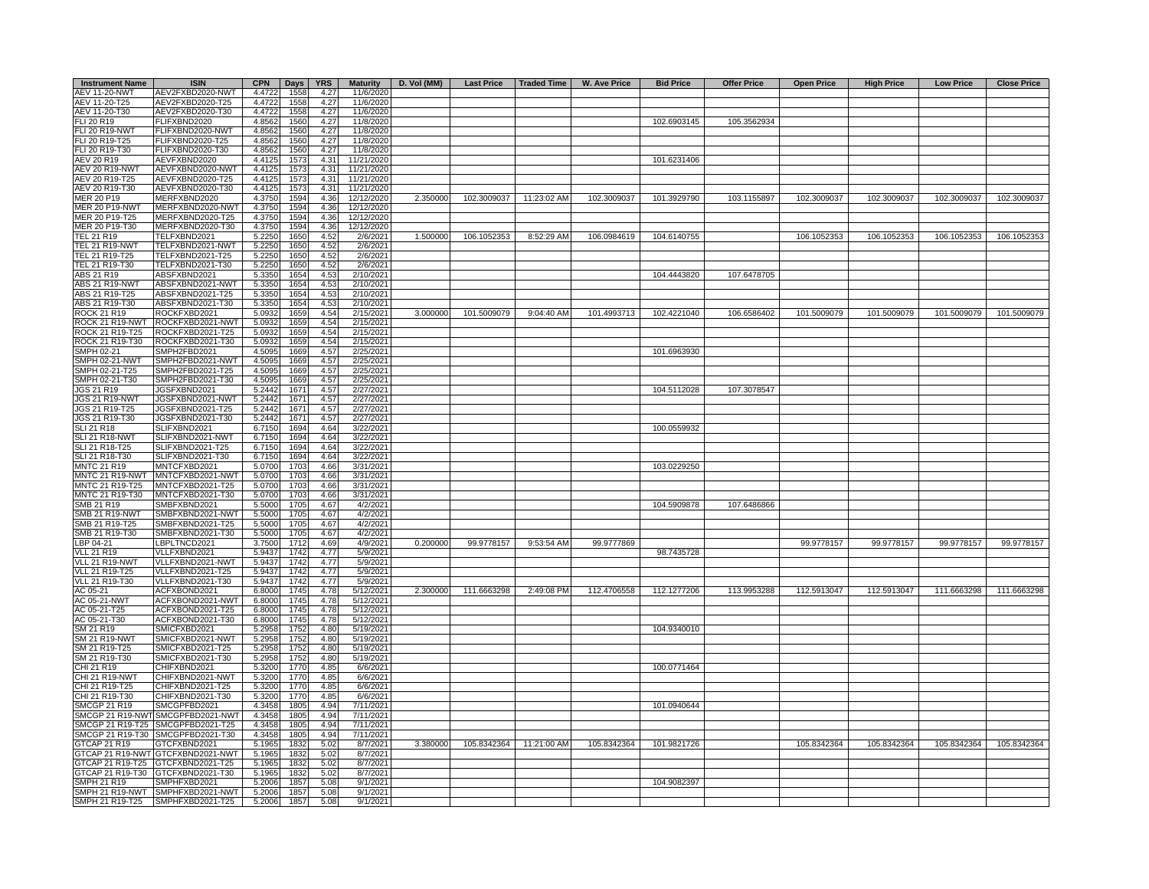| <b>Instrument Name</b> | <b>ISIN</b>                       | <b>CPN</b> | Days | <b>YRS</b>   |                      | Maturity   D. Vol (MM) |             | Last Price   Traded Time | W. Ave Price | <b>Bid Price</b> | <b>Offer Price</b> | <b>Open Price</b> | <b>High Price</b> | <b>Low Price</b> | <b>Close Price</b> |
|------------------------|-----------------------------------|------------|------|--------------|----------------------|------------------------|-------------|--------------------------|--------------|------------------|--------------------|-------------------|-------------------|------------------|--------------------|
| <b>AEV 11-20-NWT</b>   | AEV2FXBD2020-NWT                  | 4.4722     | 1558 | 4.27         | 11/6/2020            |                        |             |                          |              |                  |                    |                   |                   |                  |                    |
| AEV 11-20-T25          | AEV2FXBD2020-T25                  | 4.4722     | 1558 | 4.27         | 11/6/2020            |                        |             |                          |              |                  |                    |                   |                   |                  |                    |
| AEV 11-20-T30          | AEV2FXBD2020-T30                  | 4.4722     | 1558 | 4.27         | 11/6/2020            |                        |             |                          |              |                  |                    |                   |                   |                  |                    |
| FLI 20 R19             | FLIFXBND2020                      | 4.8562     | 1560 | 4.27         | 11/8/2020            |                        |             |                          |              | 102.6903145      | 105.3562934        |                   |                   |                  |                    |
| FLI 20 R19-NWT         | FLIFXBND2020-NWT                  | 4.8562     | 1560 | 4.27         | 11/8/2020            |                        |             |                          |              |                  |                    |                   |                   |                  |                    |
| FLI 20 R19-T25         | FLIFXBND2020-T25                  | 4.8562     | 1560 | 4.27         | 11/8/2020            |                        |             |                          |              |                  |                    |                   |                   |                  |                    |
| FLI 20 R19-T30         | FLIFXBND2020-T30                  | 4.8562     | 1560 | 4.27         | 11/8/2020            |                        |             |                          |              |                  |                    |                   |                   |                  |                    |
| AEV 20 R19             | AEVFXBND2020                      | 4.4125     | 1573 | 4.31         | 11/21/2020           |                        |             |                          |              | 101.6231406      |                    |                   |                   |                  |                    |
| AEV 20 R19-NWT         | AEVFXBND2020-NWT                  | 4.4125     | 1573 | 4.31         | 11/21/2020           |                        |             |                          |              |                  |                    |                   |                   |                  |                    |
| AEV 20 R19-T25         | AEVFXBND2020-T25                  | 4.4125     | 1573 | 4.31         | 11/21/2020           |                        |             |                          |              |                  |                    |                   |                   |                  |                    |
| AEV 20 R19-T30         | AEVFXBND2020-T30                  | 4.4125     | 1573 | 4.31         | 11/21/2020           |                        |             |                          |              |                  |                    |                   |                   |                  |                    |
| MER 20 P19             | MERFXBND2020                      | 4.3750     | 1594 | 4.36         | 12/12/2020           | 2.350000               |             | 102.3009037 11:23:02 AM  | 102.3009037  | 101.3929790      | 103.1155897        | 102.3009037       | 102.3009037       | 102.3009037      | 102.3009037        |
| <b>MER 20 P19-NWT</b>  | MERFXBND2020-NWT                  | 4.3750     | 1594 | 4.36         | 12/12/2020           |                        |             |                          |              |                  |                    |                   |                   |                  |                    |
| MER 20 P19-T25         | MERFXBND2020-T25                  | 4.3750     | 1594 | 4.36         | 12/12/2020           |                        |             |                          |              |                  |                    |                   |                   |                  |                    |
| MER 20 P19-T30         | MERFXBND2020-T30                  | 4.3750     | 1594 | 4.36         | 12/12/2020           |                        |             |                          |              |                  |                    |                   |                   |                  |                    |
| <b>TEL 21 R19</b>      | TELFXBND2021                      | 5.2250     | 1650 | 4.52         | 2/6/2021             | 1.500000               | 106.1052353 | 8:52:29 AM               | 106.0984619  | 104.6140755      |                    | 106.1052353       | 106.1052353       | 106.1052353      | 106.1052353        |
| TEL 21 R19-NWT         | TELFXBND2021-NWT                  | 5.2250     | 1650 | 4.52         | 2/6/2021             |                        |             |                          |              |                  |                    |                   |                   |                  |                    |
| TEL 21 R19-T25         | TELFXBND2021-T25                  | 5.2250     | 1650 | 4.52         | 2/6/2021             |                        |             |                          |              |                  |                    |                   |                   |                  |                    |
| TEL 21 R19-T30         | TELFXBND2021-T30                  | 5.2250     | 1650 | 4.52         | 2/6/2021             |                        |             |                          |              |                  |                    |                   |                   |                  |                    |
| ABS 21 R19             | ABSFXBND2021                      | 5.3350     | 1654 | 4.53         | 2/10/2021            |                        |             |                          |              | 104.4443820      | 107.6478705        |                   |                   |                  |                    |
| <b>ABS 21 R19-NWT</b>  | ABSFXBND2021-NWT                  | 5.3350     | 1654 | 4.53         | 2/10/2021            |                        |             |                          |              |                  |                    |                   |                   |                  |                    |
| ABS 21 R19-T25         | ABSFXBND2021-T25                  |            | 1654 | 4.53         | 2/10/2021            |                        |             |                          |              |                  |                    |                   |                   |                  |                    |
| ABS 21 R19-T30         | ABSFXBND2021-T30                  | 5.3350     | 1654 | 4.53         | 2/10/2021            |                        |             |                          |              |                  |                    |                   |                   |                  |                    |
| <b>ROCK 21 R19</b>     | ROCKFXBD2021                      | 5.3350     |      |              |                      | 3.000000               | 101.5009079 | 9:04:40 AM               | 101.4993713  |                  |                    | 101.5009079       |                   |                  |                    |
|                        |                                   | 5.0932     | 1659 | 4.54         | 2/15/2021            |                        |             |                          |              | 102.4221040      | 106.6586402        |                   | 101.5009079       | 101.5009079      | 101.5009079        |
| ROCK 21 R19-NWT        | ROCKFXBD2021-NWT                  | 5.0932     | 1659 | 4.54         | 2/15/2021            |                        |             |                          |              |                  |                    |                   |                   |                  |                    |
| ROCK 21 R19-T25        | ROCKFXBD2021-T25                  | 5.0932     | 1659 | 4.54         | 2/15/2021            |                        |             |                          |              |                  |                    |                   |                   |                  |                    |
| ROCK 21 R19-T30        | ROCKFXBD2021-T30                  | 5.0932     | 1659 | 4.54         | 2/15/2021            |                        |             |                          |              |                  |                    |                   |                   |                  |                    |
| SMPH 02-21             | SMPH2FBD2021                      | 4.5095     | 1669 | 4.57         | 2/25/2021            |                        |             |                          |              | 101.6963930      |                    |                   |                   |                  |                    |
| SMPH 02-21-NWT         | SMPH2FBD2021-NWT                  | 4.5095     | 1669 | 4.57         | 2/25/2021            |                        |             |                          |              |                  |                    |                   |                   |                  |                    |
| SMPH 02-21-T25         | SMPH2FBD2021-T25                  | 4.5095     | 1669 | 4.57         | 2/25/2021            |                        |             |                          |              |                  |                    |                   |                   |                  |                    |
| SMPH 02-21-T30         | SMPH2FBD2021-T30                  | 4.5095     | 1669 | 4.57         | 2/25/2021            |                        |             |                          |              |                  |                    |                   |                   |                  |                    |
| JGS 21 R19             | JGSFXBND2021                      | 5.2442     | 1671 | 4.57         | 2/27/2021            |                        |             |                          |              | 104.5112028      | 107.3078547        |                   |                   |                  |                    |
| JGS 21 R19-NWT         | JGSFXBND2021-NWT                  | 5.2442     | 1671 | 4.57         | 2/27/2021            |                        |             |                          |              |                  |                    |                   |                   |                  |                    |
| JGS 21 R19-T25         | JGSFXBND2021-T25                  | 5.2442     | 1671 | 4.57         | 2/27/2021            |                        |             |                          |              |                  |                    |                   |                   |                  |                    |
| JGS 21 R19-T30         | JGSFXBND2021-T30                  | 5.2442     | 1671 | 4.57         | 2/27/2021            |                        |             |                          |              |                  |                    |                   |                   |                  |                    |
| <b>SLI 21 R18</b>      | SLIFXBND2021                      | 6.7150     | 1694 | 4.64         | 3/22/2021            |                        |             |                          |              | 100.0559932      |                    |                   |                   |                  |                    |
| <b>SLI 21 R18-NWT</b>  | SLIFXBND2021-NWT                  | 6.7150     | 1694 | 4.64         | 3/22/2021            |                        |             |                          |              |                  |                    |                   |                   |                  |                    |
| SLI 21 R18-T25         | SLIFXBND2021-T25                  | 6.7150     | 1694 | 4.64         | 3/22/2021            |                        |             |                          |              |                  |                    |                   |                   |                  |                    |
| SLI 21 R18-T30         | SLIFXBND2021-T30                  | 6.7150     | 1694 | 4.64         | 3/22/2021            |                        |             |                          |              |                  |                    |                   |                   |                  |                    |
| <b>MNTC 21 R19</b>     | MNTCFXBD2021                      | 5.0700     | 1703 | 4.66         | 3/31/2021            |                        |             |                          |              | 103.0229250      |                    |                   |                   |                  |                    |
|                        | MNTC 21 R19-NWT MNTCFXBD2021-NWT  | 5.0700     | 1703 | 4.66         | 3/31/2021            |                        |             |                          |              |                  |                    |                   |                   |                  |                    |
| MNTC 21 R19-T25        | MNTCFXBD2021-T25                  | 5.0700     | 1703 | 4.66         | 3/31/2021            |                        |             |                          |              |                  |                    |                   |                   |                  |                    |
| MNTC 21 R19-T30        | MNTCFXBD2021-T30                  | 5.0700     | 1703 | 4.66         | 3/31/2021            |                        |             |                          |              |                  |                    |                   |                   |                  |                    |
| SMB 21 R19             | SMBFXBND2021                      | 5.5000     | 1705 | 4.67         | 4/2/2021             |                        |             |                          |              | 104.5909878      | 107.6486866        |                   |                   |                  |                    |
| <b>SMB 21 R19-NWT</b>  | SMBFXBND2021-NWT                  | 5.5000     | 1705 | 4.67         | 4/2/2021             |                        |             |                          |              |                  |                    |                   |                   |                  |                    |
| SMB 21 R19-T25         | SMBFXBND2021-T25                  | 5.5000     | 1705 | 4.67         | 4/2/2021             |                        |             |                          |              |                  |                    |                   |                   |                  |                    |
| SMB 21 R19-T30         | SMBFXBND2021-T30                  | 5.5000     | 1705 | 4.67         | 4/2/2021             |                        |             |                          |              |                  |                    |                   |                   |                  |                    |
| LBP 04-21              | LBPLTNCD2021                      | 3.7500     | 1712 | 4.69         | 4/9/2021             | 0.200000               | 99.9778157  | 9:53:54 AM               | 99.9777869   |                  |                    | 99.9778157        | 99.9778157        | 99.9778157       | 99.9778157         |
| <b>VLL 21 R19</b>      | VLLFXBND2021                      | 5.9437     | 1742 | 4.77         | 5/9/2021             |                        |             |                          |              | 98.7435728       |                    |                   |                   |                  |                    |
| VLL 21 R19-NWT         | VLLFXBND2021-NWT                  | 5.9437     | 1742 | 4.77         | 5/9/2021             |                        |             |                          |              |                  |                    |                   |                   |                  |                    |
| <b>VLL 21 R19-T25</b>  | VLLFXBND2021-T25                  | 5.9437     | 1742 | 4.77         |                      |                        |             |                          |              |                  |                    |                   |                   |                  |                    |
| VLL 21 R19-T30         | VLLFXBND2021-T30                  | 5.9437     |      | 4.77         | 5/9/2021<br>5/9/2021 |                        |             |                          |              |                  |                    |                   |                   |                  |                    |
|                        |                                   |            | 1742 |              |                      | 2.300000               | 111.6663298 | 2:49:08 PM               |              |                  |                    |                   |                   |                  |                    |
| AC 05-21               | ACFXBOND2021                      | 6.8000     | 1745 | 4.78<br>4.78 | 5/12/2021            |                        |             |                          | 112.4706558  | 112.1277206      | 113.9953288        | 112.5913047       | 112.5913047       | 111.6663298      | 111.6663298        |
| AC 05-21-NWT           | ACFXBOND2021-NWT                  | 6.8000     | 1745 |              | 5/12/2021            |                        |             |                          |              |                  |                    |                   |                   |                  |                    |
| AC 05-21-T25           | ACFXBOND2021-T25                  | 6,8000     | 1745 | 4.78         | 5/12/2021            |                        |             |                          |              |                  |                    |                   |                   |                  |                    |
| AC 05-21-T30           | ACFXBOND2021-T30                  | 6.8000     | 1745 | 4.78         | 5/12/2021            |                        |             |                          |              |                  |                    |                   |                   |                  |                    |
| SM 21 R19              | SMICFXBD2021                      | 5.2958     | 1752 | 4.80         | 5/19/2021            |                        |             |                          |              | 104.9340010      |                    |                   |                   |                  |                    |
| <b>SM 21 R19-NWT</b>   | SMICFXBD2021-NWT                  | 5.2958     | 1752 | 4.80         | 5/19/2021            |                        |             |                          |              |                  |                    |                   |                   |                  |                    |
| SM 21 R19-T25          | SMICFXBD2021-T25                  | 5.2958     | 1752 | 4.80         | 5/19/2021            |                        |             |                          |              |                  |                    |                   |                   |                  |                    |
| SM 21 R19-T30          | SMICFXBD2021-T30                  | 5.2958     | 1752 | 4.80         | 5/19/2021            |                        |             |                          |              |                  |                    |                   |                   |                  |                    |
| CHI 21 R19             | CHIFXBND2021                      | 5.3200     | 1770 | 4.85         | 6/6/2021             |                        |             |                          |              | 100.0771464      |                    |                   |                   |                  |                    |
| CHI 21 R19-NWT         | CHIFXBND2021-NWT                  | 5.3200     | 1770 | 4.85         | 6/6/2021             |                        |             |                          |              |                  |                    |                   |                   |                  |                    |
| CHI 21 R19-T25         | CHIFXBND2021-T25                  | 5.3200     | 1770 | 4.85         | 6/6/2021             |                        |             |                          |              |                  |                    |                   |                   |                  |                    |
| CHI 21 R19-T30         | CHIFXBND2021-T30                  | 5.3200     | 1770 | 4.85         | 6/6/2021             |                        |             |                          |              |                  |                    |                   |                   |                  |                    |
| <b>SMCGP 21 R19</b>    | SMCGPFBD2021                      | 4.3458     | 1805 | 4.94         | 7/11/2021            |                        |             |                          |              | 101.0940644      |                    |                   |                   |                  |                    |
|                        | SMCGP 21 R19-NWT SMCGPFBD2021-NWT | 4.3458     | 1805 | 4.94         | 7/11/2021            |                        |             |                          |              |                  |                    |                   |                   |                  |                    |
|                        | SMCGP 21 R19-T25 SMCGPFBD2021-T25 | 4.3458     | 1805 | 4.94         | 7/11/2021            |                        |             |                          |              |                  |                    |                   |                   |                  |                    |
|                        | SMCGP 21 R19-T30 SMCGPFBD2021-T30 | 4.3458     | 1805 | 4.94         | 7/11/2021            |                        |             |                          |              |                  |                    |                   |                   |                  |                    |
| <b>GTCAP 21 R19</b>    | GTCFXBND2021                      | 5.1965     | 1832 | 5.02         | 8/7/2021             | 3.380000               | 105.8342364 | 11:21:00 AM              | 105.8342364  | 101.9821726      |                    | 105.8342364       | 105.8342364       | 105.8342364      | 105.8342364        |
|                        | GTCAP 21 R19-NWT GTCFXBND2021-NWT | 5.1965     | 1832 | 5.02         | 8/7/2021             |                        |             |                          |              |                  |                    |                   |                   |                  |                    |
|                        | GTCAP 21 R19-T25 GTCFXBND2021-T25 | 5.1965     | 1832 | 5.02         | 8/7/2021             |                        |             |                          |              |                  |                    |                   |                   |                  |                    |
|                        | GTCAP 21 R19-T30 GTCFXBND2021-T30 | 5.1965     | 1832 | 5.02         | 8/7/2021             |                        |             |                          |              |                  |                    |                   |                   |                  |                    |
| SMPH 21 R19            | SMPHFXBD2021                      | 5.2006     | 1857 | 5.08         | 9/1/2021             |                        |             |                          |              | 104.9082397      |                    |                   |                   |                  |                    |
|                        | SMPH 21 R19-NWT SMPHFXBD2021-NWT  | 5.2006     | 1857 | 5.08         | 9/1/2021             |                        |             |                          |              |                  |                    |                   |                   |                  |                    |
|                        | SMPH 21 R19-T25 SMPHFXBD2021-T25  | 5.2006     | 1857 | 5.08         | 9/1/2021             |                        |             |                          |              |                  |                    |                   |                   |                  |                    |
|                        |                                   |            |      |              |                      |                        |             |                          |              |                  |                    |                   |                   |                  |                    |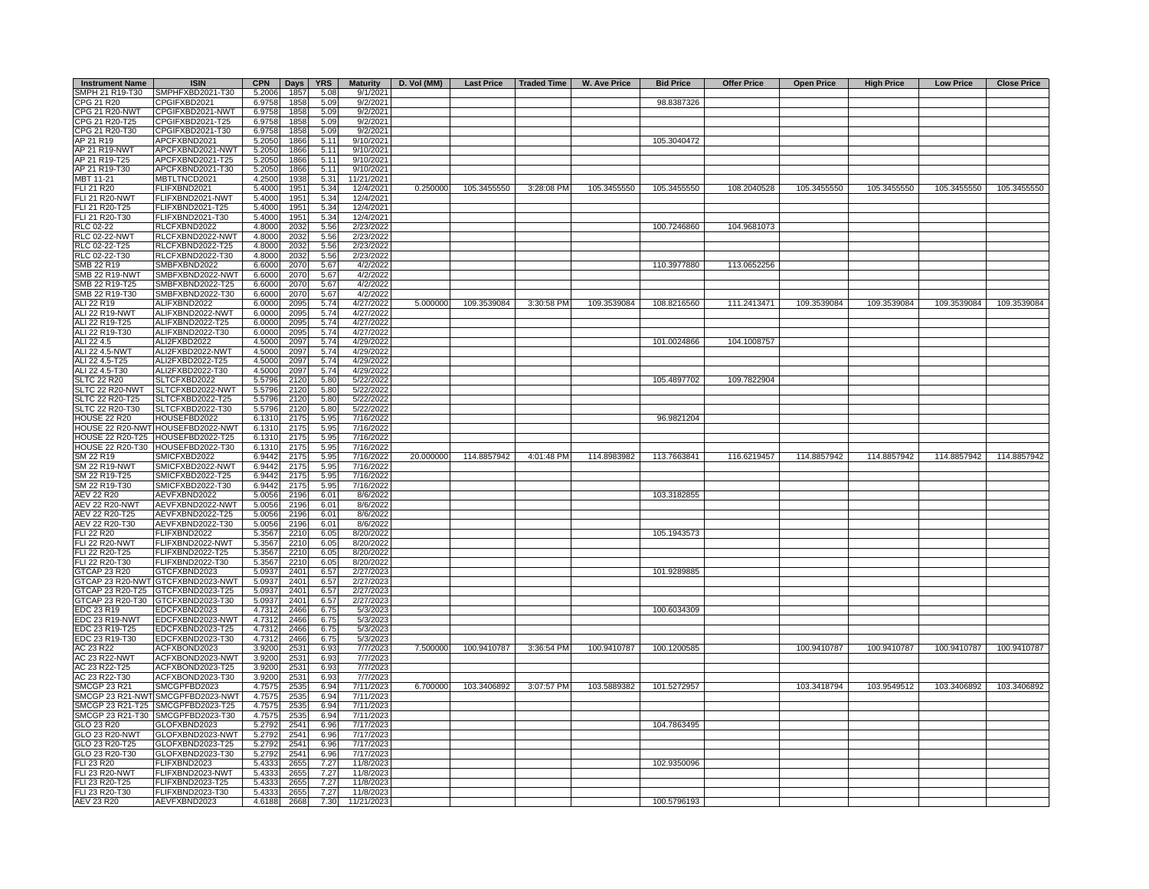| <b>Instrument Name</b> | <b>ISIN</b>                          | <b>CPN</b> | $_{\text{Days}}$ | <b>YRS</b>   | <b>Maturity</b> | D. Vol (MM) |             | Last Price   Traded Time   W. Ave Price |             | <b>Bid Price</b> | <b>Offer Price</b> | <b>Open Price</b> | <b>High Price</b> | <b>Low Price</b> | <b>Close Price</b> |
|------------------------|--------------------------------------|------------|------------------|--------------|-----------------|-------------|-------------|-----------------------------------------|-------------|------------------|--------------------|-------------------|-------------------|------------------|--------------------|
| SMPH 21 R19-T30        | SMPHFXBD2021-T30                     | 5.2006     | 1857             | 5.08         | 9/1/2021        |             |             |                                         |             |                  |                    |                   |                   |                  |                    |
| CPG 21 R20             | CPGIFXBD2021                         | 6.9758     | 1858             | 5.09         | 9/2/2021        |             |             |                                         |             | 98.8387326       |                    |                   |                   |                  |                    |
| CPG 21 R20-NWT         | CPGIFXBD2021-NWT                     | 6.9758     | 1858             | 5.09         | 9/2/2021        |             |             |                                         |             |                  |                    |                   |                   |                  |                    |
| CPG 21 R20-T25         | CPGIFXBD2021-T25                     | 6.9758     | 1858             | 5.09         | 9/2/2021        |             |             |                                         |             |                  |                    |                   |                   |                  |                    |
| CPG 21 R20-T30         | CPGIFXBD2021-T30                     | 6.9758     | 1858             | 5.09         | 9/2/2021        |             |             |                                         |             |                  |                    |                   |                   |                  |                    |
| AP 21 R19              | APCFXBND2021                         | 5.2050     | 1866             | 5.11         | 9/10/2021       |             |             |                                         |             | 105.3040472      |                    |                   |                   |                  |                    |
| AP 21 R19-NWT          | APCFXBND2021-NWT                     | 5.2050     | 1866             | 5.11         | 9/10/2021       |             |             |                                         |             |                  |                    |                   |                   |                  |                    |
| AP 21 R19-T25          | APCFXBND2021-T25                     | 5.2050     | 1866             | 5.11         | 9/10/2021       |             |             |                                         |             |                  |                    |                   |                   |                  |                    |
| AP 21 R19-T30          | APCFXBND2021-T30                     | 5.2050     | 1866             | 5.11         | 9/10/2021       |             |             |                                         |             |                  |                    |                   |                   |                  |                    |
| MBT 11-21              | MBTLTNCD2021                         | 4.2500     | 1938             | 5.31         | 11/21/2021      |             |             |                                         |             |                  |                    |                   |                   |                  |                    |
| FLI 21 R20             | FLIFXBND2021                         | 5.4000     | 1951             | 5.34         | 12/4/2021       | 0.250000    | 105.3455550 | 3:28:08 PM                              | 105.3455550 | 105.3455550      | 108.2040528        | 105.3455550       | 105.3455550       | 105.3455550      | 105.3455550        |
| FLI 21 R20-NWT         | FLIFXBND2021-NWT                     | 5.4000     | 1951             | 5.34         | 12/4/2021       |             |             |                                         |             |                  |                    |                   |                   |                  |                    |
| FLI 21 R20-T25         | FLIFXBND2021-T25                     | 5.4000     | 1951             | 5.34         | 12/4/2021       |             |             |                                         |             |                  |                    |                   |                   |                  |                    |
| FLI 21 R20-T30         | FLIFXBND2021-T30                     | 5.4000     | 1951             | 5.34         | 12/4/2021       |             |             |                                         |             |                  |                    |                   |                   |                  |                    |
| RLC 02-22              | RLCFXBND2022                         | 4.8000     | 2032             | 5.56         | 2/23/2022       |             |             |                                         |             | 100.7246860      | 104.9681073        |                   |                   |                  |                    |
| RLC 02-22-NWT          | RLCFXBND2022-NWT                     | 4.8000     | 2032             | 5.56         | 2/23/2022       |             |             |                                         |             |                  |                    |                   |                   |                  |                    |
| RLC 02-22-T25          | RLCFXBND2022-T25                     | 4.8000     | 2032             | 5.56         | 2/23/2022       |             |             |                                         |             |                  |                    |                   |                   |                  |                    |
| RLC 02-22-T30          | RLCFXBND2022-T30                     | 4.8000     | 2032             | 5.56         | 2/23/2022       |             |             |                                         |             |                  |                    |                   |                   |                  |                    |
| SMB 22 R19             | SMBFXBND2022                         | 6.6000     | 2070             | 5.67         | 4/2/2022        |             |             |                                         |             | 110.3977880      | 113.0652256        |                   |                   |                  |                    |
| <b>SMB 22 R19-NWT</b>  | SMBFXBND2022-NWT                     | 6.6000     | 2070             | 5.67         | 4/2/2022        |             |             |                                         |             |                  |                    |                   |                   |                  |                    |
|                        |                                      |            |                  |              |                 |             |             |                                         |             |                  |                    |                   |                   |                  |                    |
| SMB 22 R19-T25         | SMBFXBND2022-T25                     | 6.6000     | 2070             | 5.67         | 4/2/2022        |             |             |                                         |             |                  |                    |                   |                   |                  |                    |
| SMB 22 R19-T30         | SMBFXBND2022-T30                     | 6.6000     | 2070             | 5.67         | 4/2/2022        |             |             |                                         |             |                  |                    |                   |                   |                  |                    |
| ALI 22 R19             | ALIFXBND2022                         | 6.0000     | 2095             | 5.74         | 4/27/2022       | 5.000000    | 109.3539084 | 3:30:58 PM                              | 109.3539084 | 108.8216560      | 111.2413471        | 109.3539084       | 109.3539084       | 109.3539084      | 109.3539084        |
| ALI 22 R19-NWT         | ALIFXBND2022-NWT                     | 6.0000     | 2095             | 5.74         | 4/27/2022       |             |             |                                         |             |                  |                    |                   |                   |                  |                    |
| ALI 22 R19-T25         | ALIFXBND2022-T25                     | 6.0000     | 2095             | 5.74         | 4/27/2022       |             |             |                                         |             |                  |                    |                   |                   |                  |                    |
| ALI 22 R19-T30         | ALIFXBND2022-T30                     | 6.0000     | 2095             | 5.74         | 4/27/2022       |             |             |                                         |             |                  |                    |                   |                   |                  |                    |
| ALI 22 4.5             | ALI2FXBD2022                         | 4.5000     | 2097             | 5.74         | 4/29/2022       |             |             |                                         |             | 101.0024866      | 104.1008757        |                   |                   |                  |                    |
| ALI 22 4.5-NWT         | ALI2FXBD2022-NWT                     | 4.5000     | 2097             | 5.74         | 4/29/2022       |             |             |                                         |             |                  |                    |                   |                   |                  |                    |
| ALI 22 4.5-T25         | ALI2FXBD2022-T25                     | 4.5000     | 2097             | 5.74         | 4/29/2022       |             |             |                                         |             |                  |                    |                   |                   |                  |                    |
| ALI 22 4.5-T30         | ALI2FXBD2022-T30                     | 4.5000     | 2097             | 5.74         | 4/29/2022       |             |             |                                         |             |                  |                    |                   |                   |                  |                    |
| <b>SLTC 22 R20</b>     | SLTCFXBD2022                         | 5.5796     | 2120             | 5.80         | 5/22/2022       |             |             |                                         |             | 105.4897702      | 109.7822904        |                   |                   |                  |                    |
| SLTC 22 R20-NWT        | SLTCFXBD2022-NWT                     | 5.5796     | 2120             | 5.80         | 5/22/2022       |             |             |                                         |             |                  |                    |                   |                   |                  |                    |
| SLTC 22 R20-T25        | SLTCFXBD2022-T25                     | 5.5796     | 2120             | 5.80         | 5/22/2022       |             |             |                                         |             |                  |                    |                   |                   |                  |                    |
| SLTC 22 R20-T30        | SLTCFXBD2022-T30                     | 5.5796     | 2120             | 5.80         | 5/22/2022       |             |             |                                         |             |                  |                    |                   |                   |                  |                    |
| <b>HOUSE 22 R20</b>    | HOUSEFBD2022                         | 6.1310     | 2175             | 5.95         | 7/16/2022       |             |             |                                         |             | 96.9821204       |                    |                   |                   |                  |                    |
|                        | HOUSE 22 R20-NWT HOUSEFBD2022-NWT    | 6.1310     | 2175             | 5.95         | 7/16/2022       |             |             |                                         |             |                  |                    |                   |                   |                  |                    |
|                        | HOUSE 22 R20-T25 HOUSEFBD2022-T25    | 6.1310     | 2175             | 5.95         | 7/16/2022       |             |             |                                         |             |                  |                    |                   |                   |                  |                    |
|                        | HOUSE 22 R20-T30 HOUSEFBD2022-T30    | 6.1310     | 2175             | 5.95         | 7/16/2022       |             |             |                                         |             |                  |                    |                   |                   |                  |                    |
| SM 22 R19              | SMICFXBD2022                         | 6.9442     | 2175             | 5.95         | 7/16/2022       | 20.000000   | 114.8857942 | 4:01:48 PM                              | 114.8983982 | 113.7663841      | 116.6219457        | 114.8857942       | 114.8857942       | 114.8857942      | 114.8857942        |
| <b>SM 22 R19-NWT</b>   | SMICFXBD2022-NWT                     | 6.9442     | 2175             | 5.95         | 7/16/2022       |             |             |                                         |             |                  |                    |                   |                   |                  |                    |
| SM 22 R19-T25          | SMICFXBD2022-T25                     | 6.9442     | 2175             | 5.95         | 7/16/2022       |             |             |                                         |             |                  |                    |                   |                   |                  |                    |
| SM 22 R19-T30          | SMICFXBD2022-T30                     | 6.9442     | 2175             | 5.95         | 7/16/2022       |             |             |                                         |             |                  |                    |                   |                   |                  |                    |
| <b>AEV 22 R20</b>      | AEVFXBND2022                         | 5.0056     | 2196             | 6.01         | 8/6/2022        |             |             |                                         |             | 103.3182855      |                    |                   |                   |                  |                    |
| <b>AEV 22 R20-NWT</b>  | AEVFXBND2022-NWT                     | 5.0056     | 2196             | 6.01         | 8/6/2022        |             |             |                                         |             |                  |                    |                   |                   |                  |                    |
| AEV 22 R20-T25         | AEVFXBND2022-T25                     | 5.0056     | 2196             | 6.01         | 8/6/2022        |             |             |                                         |             |                  |                    |                   |                   |                  |                    |
| AEV 22 R20-T30         | AEVFXBND2022-T30                     | 5.0056     | 2196             | 6.01         | 8/6/2022        |             |             |                                         |             |                  |                    |                   |                   |                  |                    |
| <b>FLI 22 R20</b>      | FLIFXBND2022                         |            | 2210             |              |                 |             |             |                                         |             | 105.1943573      |                    |                   |                   |                  |                    |
|                        |                                      | 5.3567     |                  | 6.05         | 8/20/2022       |             |             |                                         |             |                  |                    |                   |                   |                  |                    |
| <b>FLI 22 R20-NWT</b>  | FLIFXBND2022-NWT                     | 5.3567     | 2210             | 6.05<br>6.05 | 8/20/2022       |             |             |                                         |             |                  |                    |                   |                   |                  |                    |
| FLI 22 R20-T25         | FLIFXBND2022-T25                     | 5.3567     | 2210             |              | 8/20/2022       |             |             |                                         |             |                  |                    |                   |                   |                  |                    |
| FLI 22 R20-T30         | FLIFXBND2022-T30                     | 5.3567     | 2210             | 6.05         | 8/20/2022       |             |             |                                         |             |                  |                    |                   |                   |                  |                    |
| GTCAP 23 R20           | GTCFXBND2023                         | 5.0937     | 2401             | 6.57         | 2/27/2023       |             |             |                                         |             | 101.9289885      |                    |                   |                   |                  |                    |
|                        | GTCAP 23 R20-NWT GTCFXBND2023-NWT    | 5.0937     | 2401             | 6.57         | 2/27/2023       |             |             |                                         |             |                  |                    |                   |                   |                  |                    |
|                        | GTCAP 23 R20-T25 GTCFXBND2023-T25    | 5.0937     | 2401             | 6.57         | 2/27/2023       |             |             |                                         |             |                  |                    |                   |                   |                  |                    |
| GTCAP 23 R20-T30       | GTCFXBND2023-T30                     | 5.0937     | 2401             | 6.57         | 2/27/2023       |             |             |                                         |             |                  |                    |                   |                   |                  |                    |
| EDC 23 R19             | EDCFXBND2023                         | 4.7312     | 2466             | 6.75         | 5/3/2023        |             |             |                                         |             | 100.6034309      |                    |                   |                   |                  |                    |
| EDC 23 R19-NWT         | EDCFXBND2023-NWT                     | 4.7312     | 2466             | 6.75         | 5/3/2023        |             |             |                                         |             |                  |                    |                   |                   |                  |                    |
| EDC 23 R19-T25         | EDCFXBND2023-T25                     | 4.7312     | 2466             | 6.75         | 5/3/2023        |             |             |                                         |             |                  |                    |                   |                   |                  |                    |
| EDC 23 R19-T30         | EDCFXBND2023-T30                     | 4.7312     | 2466             | 6.75         | 5/3/2023        |             |             |                                         |             |                  |                    |                   |                   |                  |                    |
| AC 23 R22              | ACFXBOND2023                         | 3.9200     | 2531             | 6.93         | 7/7/2023        | 7.500000    | 100.9410787 | 3:36:54 PM                              | 100.9410787 | 100.1200585      |                    | 100.9410787       | 100.9410787       | 100.9410787      | 100.9410787        |
| AC 23 R22-NWT          | ACFXBOND2023-NWT                     | 3.9200     | 2531             | 6.93         | 7/7/2023        |             |             |                                         |             |                  |                    |                   |                   |                  |                    |
| AC 23 R22-T25          | ACFXBOND2023-T25                     | 3.9200     | 2531             | 6.93         | 7/7/2023        |             |             |                                         |             |                  |                    |                   |                   |                  |                    |
| AC 23 R22-T30          | ACFXBOND2023-T30                     | 3.9200     | 2531             | 6.93         | 7/7/2023        |             |             |                                         |             |                  |                    |                   |                   |                  |                    |
| <b>SMCGP 23 R21</b>    | SMCGPFBD2023                         | 4.7575     | 2535             | 6.94         | 7/11/2023       | 6.700000    | 103.3406892 | 3:07:57 PM                              | 103.5889382 | 101.5272957      |                    | 103.3418794       | 103.9549512       | 103.3406892      | 103.3406892        |
|                        | SMCGP 23 R21-NWT SMCGPFBD2023-NWT    | 4.7575     | 2535             | 6.94         | 7/11/2023       |             |             |                                         |             |                  |                    |                   |                   |                  |                    |
|                        | SMCGP 23 R21-T25 SMCGPFBD2023-T25    | 4.7575     | 2535             | 6.94         | 7/11/2023       |             |             |                                         |             |                  |                    |                   |                   |                  |                    |
|                        | SMCGP 23 R21-T30 SMCGPFBD2023-T30    | 4.7575     | 2535             | 6.94         | 7/11/2023       |             |             |                                         |             |                  |                    |                   |                   |                  |                    |
| GLO 23 R20             | GLOFXBND2023                         | 5.2792     | 2541             | 6.96         | 7/17/2023       |             |             |                                         |             | 104.7863495      |                    |                   |                   |                  |                    |
|                        |                                      | 5.2792     | 2541             | 6.96         | 7/17/2023       |             |             |                                         |             |                  |                    |                   |                   |                  |                    |
| GLO 23 R20-NWT         | GLOFXBND2023-NWT<br>GLOFXBND2023-T25 | 5.2792     | 2541             | 6.96         | 7/17/2023       |             |             |                                         |             |                  |                    |                   |                   |                  |                    |
| GLO 23 R20-T25         |                                      |            |                  |              |                 |             |             |                                         |             |                  |                    |                   |                   |                  |                    |
| GLO 23 R20-T30         | GLOFXBND2023-T30                     | 5.2792     | 2541             | 6.96         | 7/17/2023       |             |             |                                         |             |                  |                    |                   |                   |                  |                    |
| FLI 23 R20             | FLIFXBND2023                         | 5.4333     | 2655             | 7.27         | 11/8/2023       |             |             |                                         |             | 102.9350096      |                    |                   |                   |                  |                    |
| <b>FLI 23 R20-NWT</b>  | FLIFXBND2023-NWT                     | 5.4333     | 2655             | 7.27         | 11/8/2023       |             |             |                                         |             |                  |                    |                   |                   |                  |                    |
| FLI 23 R20-T25         | FLIFXBND2023-T25                     | 5.4333     | 2655             | 7.27         | 11/8/2023       |             |             |                                         |             |                  |                    |                   |                   |                  |                    |
| FLI 23 R20-T30         | FLIFXBND2023-T30                     | 5.4333     | 2655             | 7.27         | 11/8/2023       |             |             |                                         |             |                  |                    |                   |                   |                  |                    |
| AEV 23 R20             | AEVFXBND2023                         | 4.6188     | 2668             | 7.30         | 11/21/2023      |             |             |                                         |             | 100.5796193      |                    |                   |                   |                  |                    |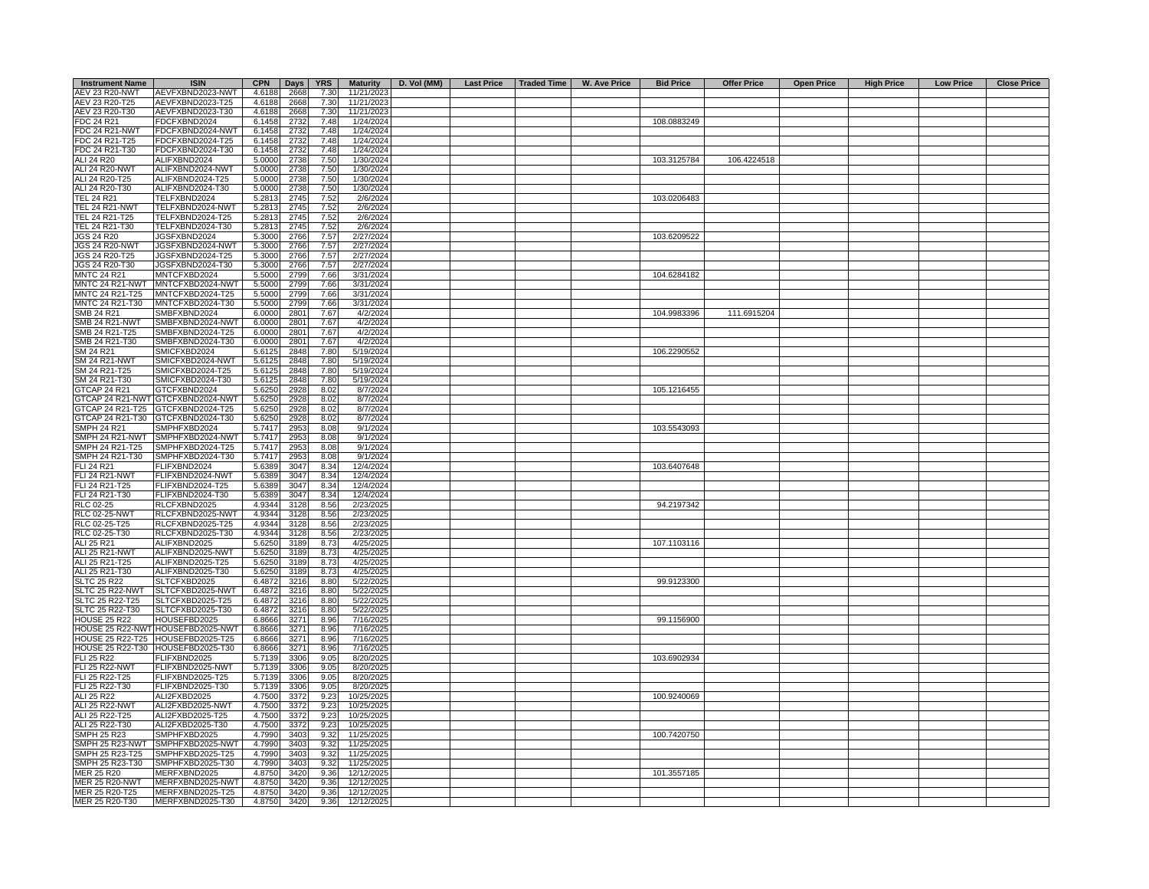| <b>Instrument Name</b> | <b>ISIN</b>                          | <b>CPN</b> | Days | <b>YRS</b> | <b>Maturity</b>         | D. Vol (MM) |  | Last Price   Traded Time   W. Ave Price | <b>Bid Price</b> | <b>Offer Price</b> | <b>Open Price</b> | <b>High Price</b> | <b>Low Price</b> | <b>Close Price</b> |
|------------------------|--------------------------------------|------------|------|------------|-------------------------|-------------|--|-----------------------------------------|------------------|--------------------|-------------------|-------------------|------------------|--------------------|
| <b>AEV 23 R20-NWT</b>  | AEVFXBND2023-NWT                     | 4.6188     | 2668 | 7.30       | 11/21/2023              |             |  |                                         |                  |                    |                   |                   |                  |                    |
| AEV 23 R20-T25         | AEVFXBND2023-T25                     | 4.6188     | 2668 | 7.30       | 11/21/2023              |             |  |                                         |                  |                    |                   |                   |                  |                    |
| AEV 23 R20-T30         | AEVFXBND2023-T30                     | 4.6188     | 2668 | 7.30       | 11/21/2023              |             |  |                                         |                  |                    |                   |                   |                  |                    |
| FDC 24 R21             | FDCFXBND2024                         | 6.1458     | 2732 | 7.48       | 1/24/2024               |             |  |                                         | 108.0883249      |                    |                   |                   |                  |                    |
| FDC 24 R21-NWT         | FDCFXBND2024-NWT                     | 6.1458     | 2732 | 7.48       | 1/24/2024               |             |  |                                         |                  |                    |                   |                   |                  |                    |
| FDC 24 R21-T25         | FDCFXBND2024-T25                     | 6.1458     | 2732 | 7.48       | 1/24/2024               |             |  |                                         |                  |                    |                   |                   |                  |                    |
| FDC 24 R21-T30         | FDCFXBND2024-T30                     | 6.1458     | 2732 | 7.48       | $\frac{1}{24/2024}$     |             |  |                                         |                  |                    |                   |                   |                  |                    |
| ALI 24 R20             | ALIFXBND2024                         | 5.0000     | 2738 | 7.50       | 1/30/2024               |             |  |                                         | 103.3125784      | 106.4224518        |                   |                   |                  |                    |
| <b>ALI 24 R20-NWT</b>  | ALIFXBND2024-NWT                     | 5.0000     | 2738 | 7.50       | 1/30/2024               |             |  |                                         |                  |                    |                   |                   |                  |                    |
| ALI 24 R20-T25         | ALIFXBND2024-T25                     | 5.0000     | 2738 | 7.50       | 1/30/2024               |             |  |                                         |                  |                    |                   |                   |                  |                    |
| ALI 24 R20-T30         | ALIFXBND2024-T30                     | 5.0000     | 2738 | 7.50       | 1/30/2024               |             |  |                                         |                  |                    |                   |                   |                  |                    |
| <b>TEL 24 R21</b>      | TELFXBND2024                         | 5.2813     | 2745 | 7.52       | 2/6/2024                |             |  |                                         | 103.0206483      |                    |                   |                   |                  |                    |
| <b>TEL 24 R21-NWT</b>  | TELFXBND2024-NWT                     | 5.2813     | 2745 | 7.52       | 2/6/2024                |             |  |                                         |                  |                    |                   |                   |                  |                    |
| TEL 24 R21-T25         | TELFXBND2024-T25                     | 5.2813     | 2745 | 7.52       | 2/6/2024                |             |  |                                         |                  |                    |                   |                   |                  |                    |
| TEL 24 R21-T30         | TELFXBND2024-T30                     | 5.2813     | 2745 | 7.52       | 2/6/2024                |             |  |                                         |                  |                    |                   |                   |                  |                    |
| <b>JGS 24 R20</b>      | JGSFXBND2024                         | 5.3000     | 2766 | 7.57       | 2/27/2024               |             |  |                                         | 103.6209522      |                    |                   |                   |                  |                    |
| JGS 24 R20-NWT         | JGSFXBND2024-NWT                     | 5.3000     | 2766 | 7.57       | 2/27/2024               |             |  |                                         |                  |                    |                   |                   |                  |                    |
| JGS 24 R20-T25         | JGSFXBND2024-T25                     | 5.3000     | 2766 | 7.57       | 2/27/2024               |             |  |                                         |                  |                    |                   |                   |                  |                    |
| JGS 24 R20-T30         | JGSFXBND2024-T30                     | 5.3000     | 2766 | 7.57       | 2/27/2024               |             |  |                                         |                  |                    |                   |                   |                  |                    |
| <b>MNTC 24 R21</b>     | MNTCFXBD2024                         | 5.5000     | 2799 | 7.66       | 3/31/2024               |             |  |                                         | 104.6284182      |                    |                   |                   |                  |                    |
| MNTC 24 R21-NWT        | MNTCFXBD2024-NWT                     | 5.5000     | 2799 | 7.66       | 3/31/2024               |             |  |                                         |                  |                    |                   |                   |                  |                    |
| MNTC 24 R21-T25        | MNTCFXBD2024-T25                     | 5.5000     | 2799 | 7.66       | 3/31/2024               |             |  |                                         |                  |                    |                   |                   |                  |                    |
| MNTC 24 R21-T30        | MNTCFXBD2024-T30                     | 5.5000     | 2799 | 7.66       | 3/31/2024               |             |  |                                         |                  |                    |                   |                   |                  |                    |
| SMB 24 R21             | SMBFXBND2024                         | 6.0000     | 2801 | 7.67       | 4/2/2024                |             |  |                                         | 104.9983396      | 111.6915204        |                   |                   |                  |                    |
| <b>SMB 24 R21-NWT</b>  | SMBFXBND2024-NWT                     | 6.0000     | 2801 | 7.67       | 4/2/2024                |             |  |                                         |                  |                    |                   |                   |                  |                    |
| SMB 24 R21-T25         | SMBFXBND2024-T25                     | 6.0000     | 2801 | 7.67       | 4/2/2024                |             |  |                                         |                  |                    |                   |                   |                  |                    |
| SMB 24 R21-T30         | SMBFXBND2024-T30                     | 6.0000     | 2801 | 7.67       | 4/2/2024                |             |  |                                         |                  |                    |                   |                   |                  |                    |
|                        |                                      |            |      |            |                         |             |  |                                         |                  |                    |                   |                   |                  |                    |
| SM 24 R21              | SMICFXBD2024                         | 5.6125     | 2848 | 7.80       | 5/19/2024               |             |  |                                         | 106.2290552      |                    |                   |                   |                  |                    |
| SM 24 R21-NWT          | SMICFXBD2024-NWT                     | 5.6125     | 2848 | 7.80       | 5/19/2024               |             |  |                                         |                  |                    |                   |                   |                  |                    |
| SM 24 R21-T25          | SMICFXBD2024-T25                     | 5.6125     | 2848 | 7.80       | 5/19/2024               |             |  |                                         |                  |                    |                   |                   |                  |                    |
| SM 24 R21-T30          | SMICFXBD2024-T30                     | 5.6125     | 2848 | 7.80       | 5/19/2024               |             |  |                                         |                  |                    |                   |                   |                  |                    |
| STCAP 24 R21           | GTCFXBND2024                         | 5.6250     | 2928 | 8.02       | 8/7/2024                |             |  |                                         | 105.1216455      |                    |                   |                   |                  |                    |
|                        | GTCAP 24 R21-NWT GTCFXBND2024-NWT    | 5.6250     | 2928 | 8.02       | 8/7/2024                |             |  |                                         |                  |                    |                   |                   |                  |                    |
|                        | GTCAP 24 R21-T25 GTCFXBND2024-T25    | 5.6250     | 2928 | 8.02       | 8/7/2024                |             |  |                                         |                  |                    |                   |                   |                  |                    |
|                        | GTCAP 24 R21-T30 GTCFXBND2024-T30    | 5.6250     | 2928 | 8.02       | 8/7/2024                |             |  |                                         |                  |                    |                   |                   |                  |                    |
| <b>SMPH 24 R21</b>     | SMPHFXBD2024                         | 5.7417     | 2953 | 8.08       | 9/1/2024                |             |  |                                         | 103.5543093      |                    |                   |                   |                  |                    |
|                        | SMPH 24 R21-NWT SMPHFXBD2024-NWT     | 5.7417     | 2953 | 8.08       | 9/1/2024                |             |  |                                         |                  |                    |                   |                   |                  |                    |
| SMPH 24 R21-T25        | SMPHFXBD2024-T25                     | 5.7417     | 2953 | 8.08       | 9/1/2024                |             |  |                                         |                  |                    |                   |                   |                  |                    |
| SMPH 24 R21-T30        | SMPHFXBD2024-T30                     | 5.7417     | 2953 | 8.08       | 9/1/2024                |             |  |                                         |                  |                    |                   |                   |                  |                    |
| FLI 24 R21             | FLIFXBND2024                         | 5.6389     | 3047 | 8.34       | 12/4/2024               |             |  |                                         | 103.6407648      |                    |                   |                   |                  |                    |
| FLI 24 R21-NWT         | FLIFXBND2024-NWT                     | 5.6389     | 3047 | 8.34       | 12/4/2024               |             |  |                                         |                  |                    |                   |                   |                  |                    |
| FLI 24 R21-T25         | FLIFXBND2024-T25                     | 5.6389     | 3047 | 8.34       | 12/4/2024               |             |  |                                         |                  |                    |                   |                   |                  |                    |
| FLI 24 R21-T30         | FLIFXBND2024-T30                     | 5.6389     | 3047 | 8.34       | 12/4/2024               |             |  |                                         |                  |                    |                   |                   |                  |                    |
| RLC 02-25              | RLCFXBND2025                         | 4.9344     | 3128 | 8.56       | 2/23/2025               |             |  |                                         | 94.2197342       |                    |                   |                   |                  |                    |
| <b>RLC 02-25-NWT</b>   | RLCFXBND2025-NWT                     | 4.9344     | 3128 | 8.56       | 2/23/2025               |             |  |                                         |                  |                    |                   |                   |                  |                    |
| RLC 02-25-T25          | RLCFXBND2025-T25                     | 4.9344     | 3128 | 8.56       | 2/23/2025               |             |  |                                         |                  |                    |                   |                   |                  |                    |
| RLC 02-25-T30          | RLCFXBND2025-T30                     | 4.9344     | 3128 | 8.56       | 2/23/2025               |             |  |                                         |                  |                    |                   |                   |                  |                    |
| ALI 25 R21             | ALIFXBND2025                         | 5.6250     | 3189 | 8.73       | 4/25/2025               |             |  |                                         | 107.1103116      |                    |                   |                   |                  |                    |
| <b>ALI 25 R21-NWT</b>  | ALIFXBND2025-NWT                     | 5.6250     | 3189 | 8.73       | 4/25/2025               |             |  |                                         |                  |                    |                   |                   |                  |                    |
| ALI 25 R21-T25         | ALIFXBND2025-T25                     | 5.6250     | 3189 | 8.73       | 4/25/2025               |             |  |                                         |                  |                    |                   |                   |                  |                    |
| ALI 25 R21-T30         | ALIFXBND2025-T30                     | 5.6250     | 3189 | 8.73       | 4/25/2025               |             |  |                                         |                  |                    |                   |                   |                  |                    |
| <b>SLTC 25 R22</b>     | SLTCFXBD2025                         | 6.4872     | 3216 | 8.80       | 5/22/2025               |             |  |                                         | 99.9123300       |                    |                   |                   |                  |                    |
| SLTC 25 R22-NWT        | SLTCFXBD2025-NWT                     | 6.4872     | 3216 | 8.80       | 5/22/2025               |             |  |                                         |                  |                    |                   |                   |                  |                    |
| SLTC 25 R22-T25        | SLTCFXBD2025-T25                     | 6.4872     | 3216 | 8.80       | 5/22/2025               |             |  |                                         |                  |                    |                   |                   |                  |                    |
| SLTC 25 R22-T30        | SLTCFXBD2025-T30                     | 6.4872     | 3216 | 8.80       | 5/22/2025               |             |  |                                         |                  |                    |                   |                   |                  |                    |
| <b>HOUSE 25 R22</b>    | HOUSEFBD2025                         | 6.8666     | 3271 | 8.96       | 7/16/2025               |             |  |                                         | 99.1156900       |                    |                   |                   |                  |                    |
|                        | HOUSE 25 R22-NWT HOUSEFBD2025-NWT    | 6.8666     | 3271 | 8.96       | 7/16/2025               |             |  |                                         |                  |                    |                   |                   |                  |                    |
|                        | HOUSE 25 R22-T25 HOUSEFBD2025-T25    | 6.8666     | 3271 | 8.96       | 7/16/2025               |             |  |                                         |                  |                    |                   |                   |                  |                    |
|                        | HOUSE 25 R22-T30 HOUSEFBD2025-T30    | 6.8666     | 3271 | 8.96       | 7/16/2025               |             |  |                                         |                  |                    |                   |                   |                  |                    |
| <b>FLI 25 R22</b>      | FLIFXBND2025                         | 5.7139     | 3306 | 9.05       | 8/20/2025               |             |  |                                         | 103.6902934      |                    |                   |                   |                  |                    |
| <b>FLI 25 R22-NWT</b>  | FLIFXBND2025-NWT                     | 5.7139     | 3306 | 9.05       | 8/20/2025               |             |  |                                         |                  |                    |                   |                   |                  |                    |
| FLI 25 R22-T25         |                                      | 5.7139     | 3306 | 9.05       |                         |             |  |                                         |                  |                    |                   |                   |                  |                    |
| FLI 25 R22-T30         | FLIFXBND2025-T25<br>FLIFXBND2025-T30 | 5.7139     | 3306 | 9.05       | 8/20/2025               |             |  |                                         |                  |                    |                   |                   |                  |                    |
| ALI 25 R22             |                                      | 4.7500     |      | 9.23       | 8/20/2025<br>10/25/2025 |             |  |                                         | 100.9240069      |                    |                   |                   |                  |                    |
|                        | ALI2FXBD2025                         |            | 3372 |            |                         |             |  |                                         |                  |                    |                   |                   |                  |                    |
| <b>ALI 25 R22-NWT</b>  | ALI2FXBD2025-NWT                     | 4.7500     | 3372 | 9.23       | 10/25/2025              |             |  |                                         |                  |                    |                   |                   |                  |                    |
| ALI 25 R22-T25         | ALI2FXBD2025-T25                     | 4.7500     | 3372 | 9.23       | 10/25/2025              |             |  |                                         |                  |                    |                   |                   |                  |                    |
| ALI 25 R22-T30         | ALI2FXBD2025-T30                     | 4.7500     | 3372 | 9.23       | 10/25/2025              |             |  |                                         |                  |                    |                   |                   |                  |                    |
| <b>SMPH 25 R23</b>     | SMPHFXBD2025                         | 4.7990     | 3403 | 9.32       | 11/25/2025              |             |  |                                         | 100.7420750      |                    |                   |                   |                  |                    |
| SMPH 25 R23-NWT        | SMPHFXBD2025-NWT                     | 4.7990     | 3403 | 9.32       | 11/25/2025              |             |  |                                         |                  |                    |                   |                   |                  |                    |
| SMPH 25 R23-T25        | SMPHFXBD2025-T25                     | 4.7990     | 3403 | 9.32       | 11/25/2025              |             |  |                                         |                  |                    |                   |                   |                  |                    |
| SMPH 25 R23-T30        | SMPHFXBD2025-T30                     | 4.7990     | 3403 | 9.32       | 11/25/2025              |             |  |                                         |                  |                    |                   |                   |                  |                    |
| <b>MER 25 R20</b>      | MERFXBND2025                         | 4.8750     | 3420 | 9.36       | 12/12/2025              |             |  |                                         | 101.3557185      |                    |                   |                   |                  |                    |
| <b>MER 25 R20-NWT</b>  | MERFXBND2025-NWT                     | 4.8750     | 3420 | 9.36       | 12/12/2025              |             |  |                                         |                  |                    |                   |                   |                  |                    |
| MER 25 R20-T25         | MERFXBND2025-T25                     | 4.8750     | 3420 | 9.36       | 12/12/2025              |             |  |                                         |                  |                    |                   |                   |                  |                    |
| MER 25 R20-T30         | MERFXBND2025-T30                     | 4.8750     | 3420 | 9.36       | 12/12/2025              |             |  |                                         |                  |                    |                   |                   |                  |                    |